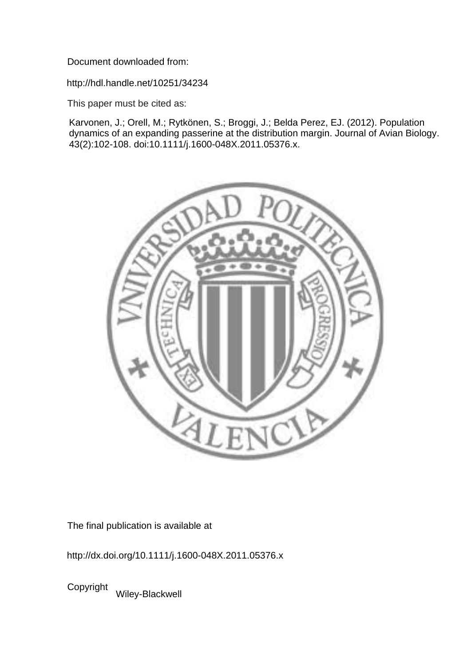Document downloaded from:

http://hdl.handle.net/10251/34234

This paper must be cited as:

Karvonen, J.; Orell, M.; Rytkönen, S.; Broggi, J.; Belda Perez, EJ. (2012). Population dynamics of an expanding passerine at the distribution margin. Journal of Avian Biology. 43(2):102-108. doi:10.1111/j.1600-048X.2011.05376.x.



The final publication is available at

http://dx.doi.org/10.1111/j.1600-048X.2011.05376.x

Copyright Wiley-Blackwell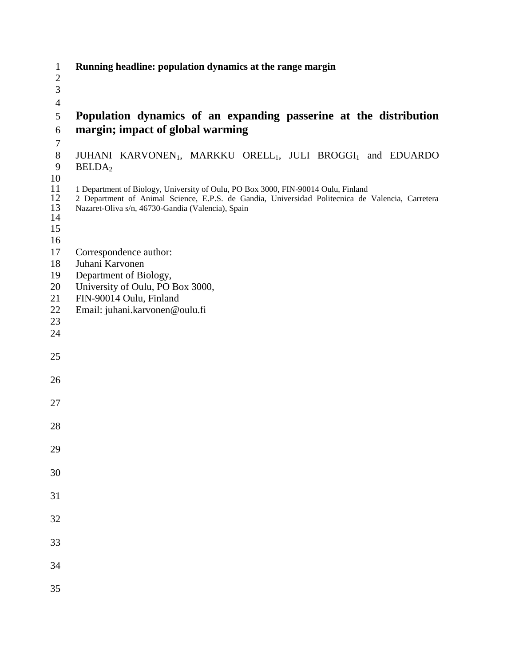| $\mathbf{1}$         | Running headline: population dynamics at the range margin                                                                                                                                                                                  |
|----------------------|--------------------------------------------------------------------------------------------------------------------------------------------------------------------------------------------------------------------------------------------|
| $\sqrt{2}$           |                                                                                                                                                                                                                                            |
| 3                    |                                                                                                                                                                                                                                            |
| $\overline{4}$       |                                                                                                                                                                                                                                            |
| 5<br>6               | Population dynamics of an expanding passerine at the distribution<br>margin; impact of global warming                                                                                                                                      |
| $\tau$               |                                                                                                                                                                                                                                            |
| $8\,$<br>9           | JUHANI KARVONEN <sub>1</sub> , MARKKU ORELL <sub>1</sub> , JULI BROGGI <sub>1</sub> and EDUARDO<br>BELDA <sub>2</sub>                                                                                                                      |
| 10                   |                                                                                                                                                                                                                                            |
| 11<br>12<br>13<br>14 | 1 Department of Biology, University of Oulu, PO Box 3000, FIN-90014 Oulu, Finland<br>2 Department of Animal Science, E.P.S. de Gandia, Universidad Politecnica de Valencia, Carretera<br>Nazaret-Oliva s/n, 46730-Gandia (Valencia), Spain |
| 15<br>16             |                                                                                                                                                                                                                                            |
| 17                   | Correspondence author:                                                                                                                                                                                                                     |
| 18                   | Juhani Karvonen                                                                                                                                                                                                                            |
| 19                   | Department of Biology,                                                                                                                                                                                                                     |
| 20                   | University of Oulu, PO Box 3000,                                                                                                                                                                                                           |
| 21                   | FIN-90014 Oulu, Finland                                                                                                                                                                                                                    |
| 22                   | Email: juhani.karvonen@oulu.fi                                                                                                                                                                                                             |
| 23                   |                                                                                                                                                                                                                                            |
| 24                   |                                                                                                                                                                                                                                            |
| 25                   |                                                                                                                                                                                                                                            |
| 26                   |                                                                                                                                                                                                                                            |
|                      |                                                                                                                                                                                                                                            |
| 27                   |                                                                                                                                                                                                                                            |
| 28                   |                                                                                                                                                                                                                                            |
| 29                   |                                                                                                                                                                                                                                            |
| 30                   |                                                                                                                                                                                                                                            |
| 31                   |                                                                                                                                                                                                                                            |
| 32                   |                                                                                                                                                                                                                                            |
| 33                   |                                                                                                                                                                                                                                            |
|                      |                                                                                                                                                                                                                                            |
| 34                   |                                                                                                                                                                                                                                            |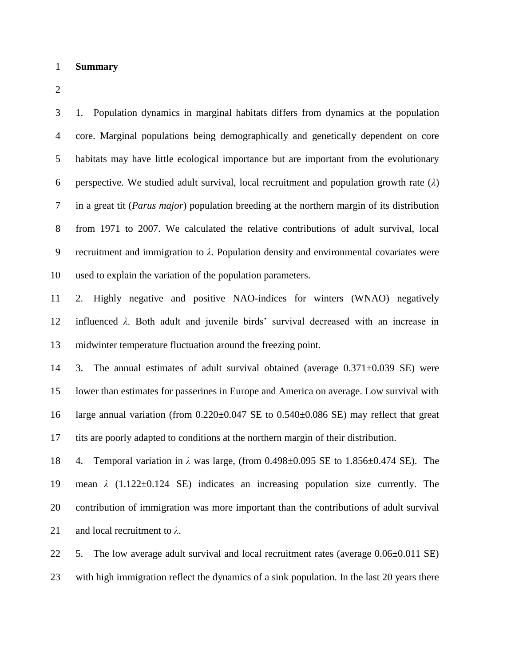#### **Summary**

 1. Population dynamics in marginal habitats differs from dynamics at the population core. Marginal populations being demographically and genetically dependent on core habitats may have little ecological importance but are important from the evolutionary perspective. We studied adult survival, local recruitment and population growth rate (*λ*) in a great tit (*Parus major*) population breeding at the northern margin of its distribution from 1971 to 2007. We calculated the relative contributions of adult survival, local recruitment and immigration to *λ*. Population density and environmental covariates were used to explain the variation of the population parameters.

 2. Highly negative and positive NAO-indices for winters (WNAO) negatively influenced *λ*. Both adult and juvenile birds' survival decreased with an increase in midwinter temperature fluctuation around the freezing point.

14 3. The annual estimates of adult survival obtained (average  $0.371 \pm 0.039$  SE) were lower than estimates for passerines in Europe and America on average. Low survival with large annual variation (from 0.220±0.047 SE to 0.540±0.086 SE) may reflect that great tits are poorly adapted to conditions at the northern margin of their distribution.

 4. Temporal variation in *λ* was large, (from 0.498±0.095 SE to 1.856±0.474 SE). The mean *λ* (1.122±0.124 SE) indicates an increasing population size currently. The contribution of immigration was more important than the contributions of adult survival and local recruitment to *λ*.

 5. The low average adult survival and local recruitment rates (average 0.06±0.011 SE) with high immigration reflect the dynamics of a sink population. In the last 20 years there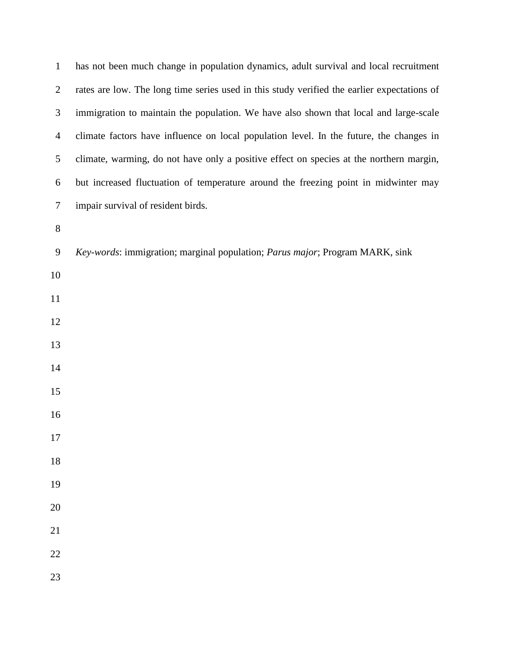| $\mathbf{1}$   | has not been much change in population dynamics, adult survival and local recruitment       |
|----------------|---------------------------------------------------------------------------------------------|
| $\overline{2}$ | rates are low. The long time series used in this study verified the earlier expectations of |
| 3              | immigration to maintain the population. We have also shown that local and large-scale       |
| $\overline{4}$ | climate factors have influence on local population level. In the future, the changes in     |
| 5              | climate, warming, do not have only a positive effect on species at the northern margin,     |
| 6              | but increased fluctuation of temperature around the freezing point in midwinter may         |
| $\tau$         | impair survival of resident birds.                                                          |
| $8\,$          |                                                                                             |
| 9              | Key-words: immigration; marginal population; Parus major; Program MARK, sink                |
| 10             |                                                                                             |
| 11             |                                                                                             |
| 12             |                                                                                             |
| 13             |                                                                                             |
| 14             |                                                                                             |
| 15             |                                                                                             |
| 16             |                                                                                             |
| 17             |                                                                                             |
| 18             |                                                                                             |
| 19             |                                                                                             |
| 20             |                                                                                             |
| 21             |                                                                                             |
| 22             |                                                                                             |
| 23             |                                                                                             |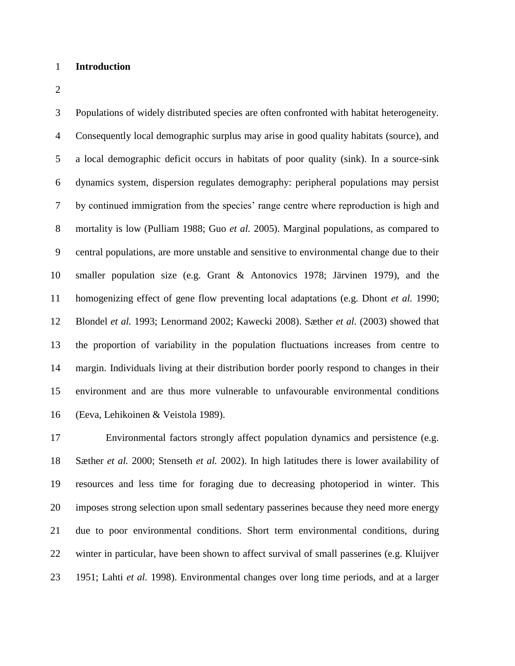### **Introduction**

 Populations of widely distributed species are often confronted with habitat heterogeneity. Consequently local demographic surplus may arise in good quality habitats (source), and a local demographic deficit occurs in habitats of poor quality (sink). In a source-sink dynamics system, dispersion regulates demography: peripheral populations may persist by continued immigration from the species' range centre where reproduction is high and mortality is low (Pulliam 1988; Guo *et al.* 2005). Marginal populations, as compared to central populations, are more unstable and sensitive to environmental change due to their smaller population size (e.g. Grant & Antonovics 1978; Järvinen 1979), and the homogenizing effect of gene flow preventing local adaptations (e.g. Dhont *et al.* 1990; Blondel *et al.* 1993; Lenormand 2002; Kawecki 2008). Sæther *et al.* (2003) showed that the proportion of variability in the population fluctuations increases from centre to margin. Individuals living at their distribution border poorly respond to changes in their environment and are thus more vulnerable to unfavourable environmental conditions (Eeva, Lehikoinen & Veistola 1989).

 Environmental factors strongly affect population dynamics and persistence (e.g. Sæther *et al.* 2000; Stenseth *et al.* 2002). In high latitudes there is lower availability of resources and less time for foraging due to decreasing photoperiod in winter. This imposes strong selection upon small sedentary passerines because they need more energy due to poor environmental conditions. Short term environmental conditions, during winter in particular, have been shown to affect survival of small passerines (e.g. Kluijver 1951; Lahti *et al.* 1998). Environmental changes over long time periods, and at a larger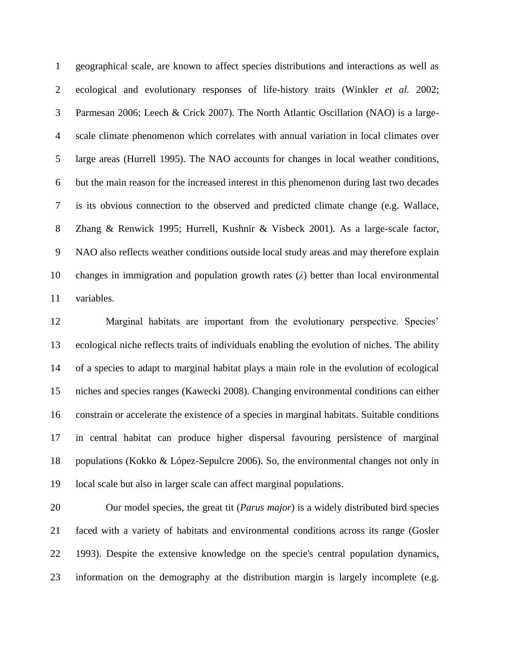geographical scale, are known to affect species distributions and interactions as well as ecological and evolutionary responses of life-history traits (Winkler *et al.* 2002; Parmesan 2006; Leech & Crick 2007). The North Atlantic Oscillation (NAO) is a large- scale climate phenomenon which correlates with annual variation in local climates over large areas (Hurrell 1995). The NAO accounts for changes in local weather conditions, but the main reason for the increased interest in this phenomenon during last two decades is its obvious connection to the observed and predicted climate change (e.g. Wallace, Zhang & Renwick 1995; Hurrell, Kushnir & Visbeck 2001). As a large-scale factor, NAO also reflects weather conditions outside local study areas and may therefore explain changes in immigration and population growth rates (*λ*) better than local environmental variables.

 Marginal habitats are important from the evolutionary perspective. Species' ecological niche reflects traits of individuals enabling the evolution of niches. The ability of a species to adapt to marginal habitat plays a main role in the evolution of ecological niches and species ranges (Kawecki 2008). Changing environmental conditions can either constrain or accelerate the existence of a species in marginal habitats. Suitable conditions in central habitat can produce higher dispersal favouring persistence of marginal populations (Kokko & López-Sepulcre 2006). So, the environmental changes not only in local scale but also in larger scale can affect marginal populations.

 Our model species, the great tit (*Parus major*) is a widely distributed bird species faced with a variety of habitats and environmental conditions across its range (Gosler 1993). Despite the extensive knowledge on the specie's central population dynamics, information on the demography at the distribution margin is largely incomplete (e.g.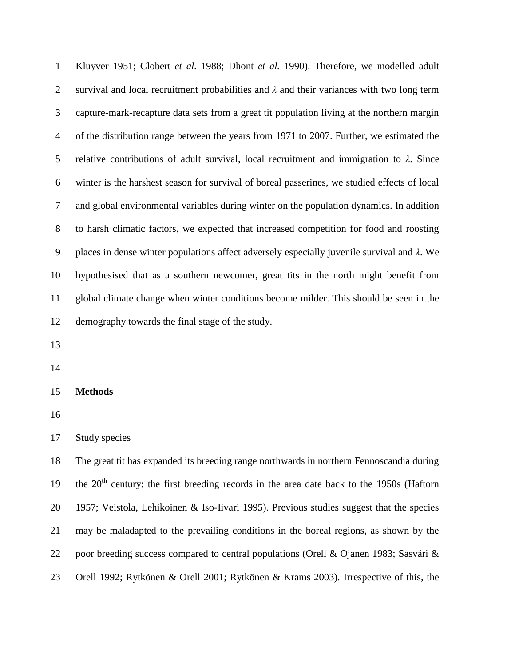Kluyver 1951; Clobert *et al.* 1988; Dhont *et al.* 1990). Therefore, we modelled adult survival and local recruitment probabilities and *λ* and their variances with two long term capture-mark-recapture data sets from a great tit population living at the northern margin of the distribution range between the years from 1971 to 2007. Further, we estimated the relative contributions of adult survival, local recruitment and immigration to *λ*. Since winter is the harshest season for survival of boreal passerines, we studied effects of local and global environmental variables during winter on the population dynamics. In addition to harsh climatic factors, we expected that increased competition for food and roosting places in dense winter populations affect adversely especially juvenile survival and *λ*. We hypothesised that as a southern newcomer, great tits in the north might benefit from global climate change when winter conditions become milder. This should be seen in the demography towards the final stage of the study. 

**Methods**

Study species

 The great tit has expanded its breeding range northwards in northern Fennoscandia during 19 the  $20<sup>th</sup>$  century; the first breeding records in the area date back to the 1950s (Haftorn 1957; Veistola, Lehikoinen & Iso-Iivari 1995). Previous studies suggest that the species may be maladapted to the prevailing conditions in the boreal regions, as shown by the poor breeding success compared to central populations (Orell & Ojanen 1983; Sasvári & Orell 1992; Rytkönen & Orell 2001; Rytkönen & Krams 2003). Irrespective of this, the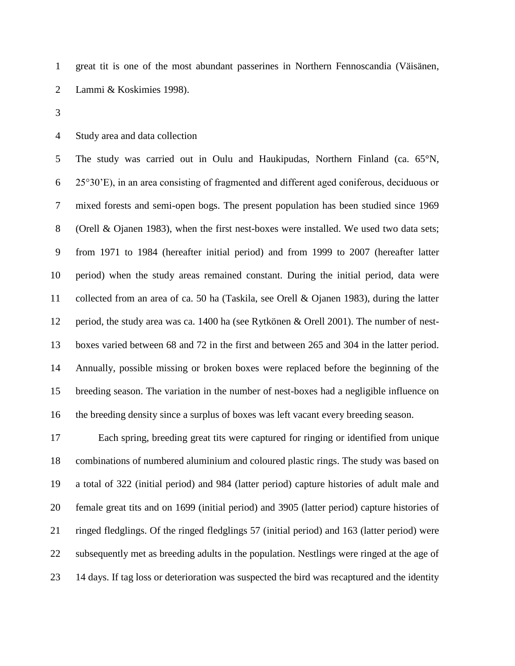great tit is one of the most abundant passerines in Northern Fennoscandia (Väisänen, Lammi & Koskimies 1998).

Study area and data collection

 The study was carried out in Oulu and Haukipudas, Northern Finland (ca. 65°N, 25°30'E), in an area consisting of fragmented and different aged coniferous, deciduous or mixed forests and semi-open bogs. The present population has been studied since 1969 (Orell & Ojanen 1983), when the first nest-boxes were installed. We used two data sets; from 1971 to 1984 (hereafter initial period) and from 1999 to 2007 (hereafter latter period) when the study areas remained constant. During the initial period, data were collected from an area of ca. 50 ha (Taskila, see Orell & Ojanen 1983), during the latter period, the study area was ca. 1400 ha (see Rytkönen & Orell 2001). The number of nest- boxes varied between 68 and 72 in the first and between 265 and 304 in the latter period. Annually, possible missing or broken boxes were replaced before the beginning of the breeding season. The variation in the number of nest-boxes had a negligible influence on the breeding density since a surplus of boxes was left vacant every breeding season.

 Each spring, breeding great tits were captured for ringing or identified from unique combinations of numbered aluminium and coloured plastic rings. The study was based on a total of 322 (initial period) and 984 (latter period) capture histories of adult male and female great tits and on 1699 (initial period) and 3905 (latter period) capture histories of ringed fledglings. Of the ringed fledglings 57 (initial period) and 163 (latter period) were subsequently met as breeding adults in the population. Nestlings were ringed at the age of 14 days. If tag loss or deterioration was suspected the bird was recaptured and the identity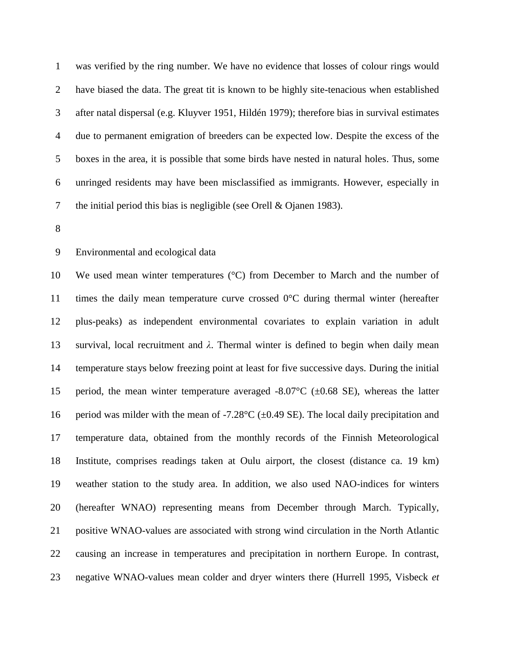was verified by the ring number. We have no evidence that losses of colour rings would have biased the data. The great tit is known to be highly site-tenacious when established after natal dispersal (e.g. Kluyver 1951, Hildén 1979); therefore bias in survival estimates due to permanent emigration of breeders can be expected low. Despite the excess of the boxes in the area, it is possible that some birds have nested in natural holes. Thus, some unringed residents may have been misclassified as immigrants. However, especially in the initial period this bias is negligible (see Orell & Ojanen 1983).

Environmental and ecological data

 We used mean winter temperatures (°C) from December to March and the number of times the daily mean temperature curve crossed 0°C during thermal winter (hereafter plus-peaks) as independent environmental covariates to explain variation in adult survival, local recruitment and *λ*. Thermal winter is defined to begin when daily mean temperature stays below freezing point at least for five successive days. During the initial 15 period, the mean winter temperature averaged  $-8.07^{\circ}$ C ( $\pm 0.68$  SE), whereas the latter 16 period was milder with the mean of -7.28 $\degree$ C ( $\pm$ 0.49 SE). The local daily precipitation and temperature data, obtained from the monthly records of the Finnish Meteorological Institute, comprises readings taken at Oulu airport, the closest (distance ca. 19 km) weather station to the study area. In addition, we also used NAO-indices for winters (hereafter WNAO) representing means from December through March. Typically, positive WNAO-values are associated with strong wind circulation in the North Atlantic causing an increase in temperatures and precipitation in northern Europe. In contrast, negative WNAO-values mean colder and dryer winters there (Hurrell 1995, Visbeck *et*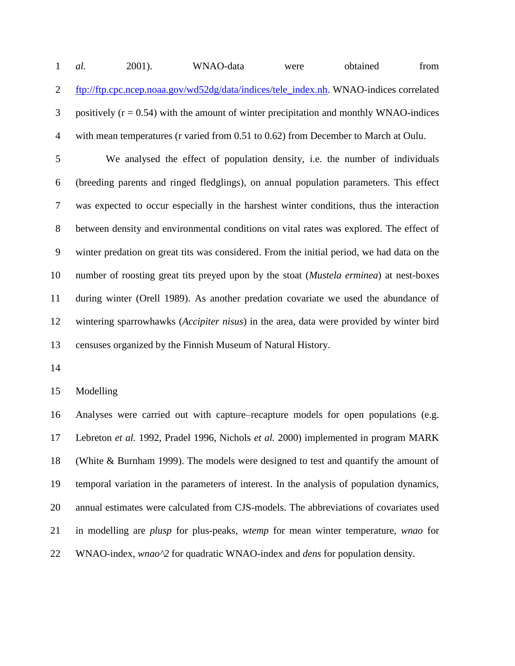*al.* 2001). WNAO-data were obtained from [ftp://ftp.cpc.ncep.noaa.gov/wd52dg/data/indices/tele\\_index.nh.](ftp://ftp.cpc.ncep.noaa.gov/wd52dg/data/indices/tele_index.nh) WNAO-indices correlated positively ( $r = 0.54$ ) with the amount of winter precipitation and monthly WNAO-indices with mean temperatures (r varied from 0.51 to 0.62) from December to March at Oulu.

 We analysed the effect of population density, i.e. the number of individuals (breeding parents and ringed fledglings), on annual population parameters. This effect was expected to occur especially in the harshest winter conditions, thus the interaction between density and environmental conditions on vital rates was explored. The effect of winter predation on great tits was considered. From the initial period, we had data on the number of roosting great tits preyed upon by the stoat (*Mustela erminea*) at nest-boxes during winter (Orell 1989). As another predation covariate we used the abundance of wintering sparrowhawks (*Accipiter nisus*) in the area, data were provided by winter bird censuses organized by the Finnish Museum of Natural History.

Modelling

 Analyses were carried out with capture–recapture models for open populations (e.g. Lebreton *et al.* 1992, Pradel 1996, Nichols *et al.* 2000) implemented in program MARK (White & Burnham 1999). The models were designed to test and quantify the amount of temporal variation in the parameters of interest. In the analysis of population dynamics, annual estimates were calculated from CJS-models. The abbreviations of covariates used in modelling are *plusp* for plus-peaks, *wtemp* for mean winter temperature, *wnao* for WNAO-index, *wnao^2* for quadratic WNAO-index and *dens* for population density.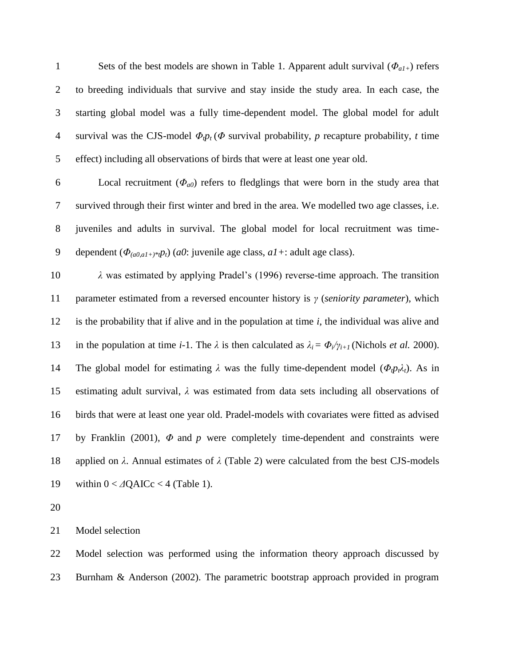Sets of the best models are shown in Table 1. Apparent adult survival (*Φa1+*) refers to breeding individuals that survive and stay inside the study area. In each case, the starting global model was a fully time-dependent model. The global model for adult survival was the CJS-model *Φtp<sup>t</sup>* (*Φ* survival probability, *p* recapture probability, *t* time effect) including all observations of birds that were at least one year old.

 Local recruitment (*Φa0*) refers to fledglings that were born in the study area that survived through their first winter and bred in the area. We modelled two age classes, i.e. juveniles and adults in survival. The global model for local recruitment was time-9 dependent  $(\Phi_{(a0,a1+) * t} p_t)$  (*a0*: juvenile age class, *a1* +: adult age class).

 *λ* was estimated by applying Pradel's (1996) reverse-time approach. The transition parameter estimated from a reversed encounter history is *γ* (*seniority parameter*), which is the probability that if alive and in the population at time *i*, the individual was alive and 13 in the population at time *i*-1. The  $\lambda$  is then calculated as  $\lambda_i = \Phi_i / \gamma_{i+1}$  (Nichols *et al.* 2000). 14 The global model for estimating  $\lambda$  was the fully time-dependent model ( $\Phi_{t}p_{t}\lambda_{t}$ ). As in estimating adult survival, *λ* was estimated from data sets including all observations of birds that were at least one year old. Pradel-models with covariates were fitted as advised by Franklin (2001), *Φ* and *p* were completely time-dependent and constraints were applied on *λ*. Annual estimates of *λ* (Table 2) were calculated from the best CJS-models 19 within 0 < *Δ*QAICc < 4 (Table 1).

Model selection

 Model selection was performed using the information theory approach discussed by Burnham & Anderson (2002). The parametric bootstrap approach provided in program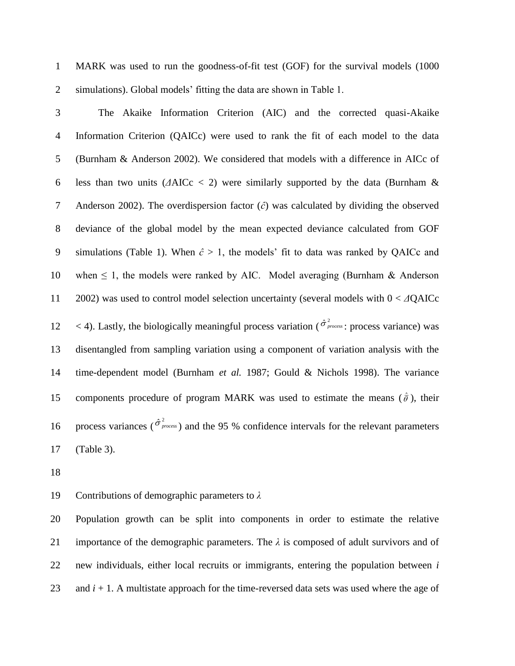MARK was used to run the goodness-of-fit test (GOF) for the survival models (1000 simulations). Global models' fitting the data are shown in Table 1.

 The Akaike Information Criterion (AIC) and the corrected quasi-Akaike Information Criterion (QAICc) were used to rank the fit of each model to the data (Burnham & Anderson 2002). We considered that models with a difference in AICc of less than two units (*Δ*AICc < 2) were similarly supported by the data (Burnham & Anderson 2002). The overdispersion factor (*ĉ*) was calculated by dividing the observed deviance of the global model by the mean expected deviance calculated from GOF 9 simulations (Table 1). When  $\hat{c} > 1$ , the models' fit to data was ranked by QAICc and 10 when  $\leq 1$ , the models were ranked by AIC. Model averaging (Burnham & Anderson 2002) was used to control model selection uncertainty (several models with 0 < *Δ*QAICc 12 < 4). Lastly, the biologically meaningful process variation ( $\hat{\sigma}^2_{process}$ : process variance) was disentangled from sampling variation using a component of variation analysis with the time-dependent model (Burnham *et al.* 1987; Gould & Nichols 1998). The variance 15 components procedure of program MARK was used to estimate the means  $(\hat{\theta})$ , their process variances ( $\hat{\sigma}^2_{process}$ ) and the 95 % confidence intervals for the relevant parameters (Table 3).

Contributions of demographic parameters to *λ*

 Population growth can be split into components in order to estimate the relative importance of the demographic parameters. The *λ* is composed of adult survivors and of new individuals, either local recruits or immigrants, entering the population between *i*  23 and  $i + 1$ . A multistate approach for the time-reversed data sets was used where the age of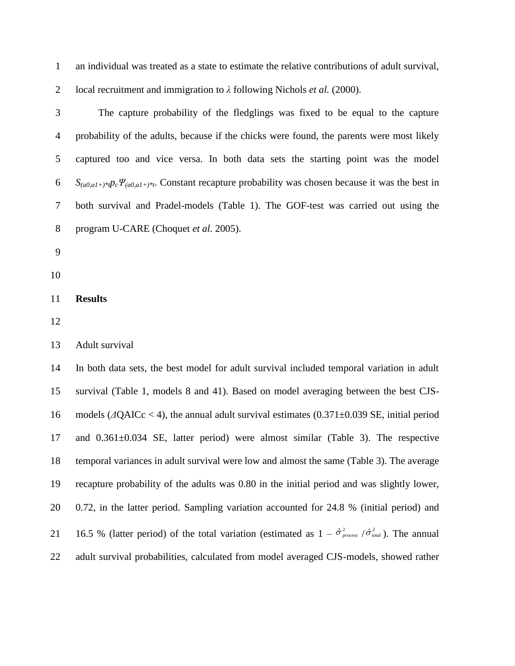| $\mathbf{1}$     | an individual was treated as a state to estimate the relative contributions of adult survival,                                    |
|------------------|-----------------------------------------------------------------------------------------------------------------------------------|
| 2                | local recruitment and immigration to $\lambda$ following Nichols <i>et al.</i> (2000).                                            |
| 3                | The capture probability of the fledglings was fixed to be equal to the capture                                                    |
| 4                | probability of the adults, because if the chicks were found, the parents were most likely                                         |
| 5                | captured too and vice versa. In both data sets the starting point was the model                                                   |
| 6                | $S_{(a0, a1)^*}p_c\Psi_{(a0, a1)^*t}$ . Constant recapture probability was chosen because it was the best in                      |
| 7                | both survival and Pradel-models (Table 1). The GOF-test was carried out using the                                                 |
| 8                | program U-CARE (Choquet et al. 2005).                                                                                             |
| $\boldsymbol{9}$ |                                                                                                                                   |
| 10               |                                                                                                                                   |
| 11               | <b>Results</b>                                                                                                                    |
| 12               |                                                                                                                                   |
| 13               | Adult survival                                                                                                                    |
| 14               | In both data sets, the best model for adult survival included temporal variation in adult                                         |
| 15               | survival (Table 1, models 8 and 41). Based on model averaging between the best CJS-                                               |
| 16               | models ( $\Delta QAICc < 4$ ), the annual adult survival estimates (0.371 $\pm$ 0.039 SE, initial period                          |
| 17               | and $0.361\pm0.034$ SE, latter period) were almost similar (Table 3). The respective                                              |
| 18               | temporal variances in adult survival were low and almost the same (Table 3). The average                                          |
| 19               | recapture probability of the adults was 0.80 in the initial period and was slightly lower,                                        |
| 20               | 0.72, in the latter period. Sampling variation accounted for 24.8 % (initial period) and                                          |
| 21               | 16.5 % (latter period) of the total variation (estimated as $1 - \hat{\sigma}_{process}^2 / \hat{\sigma}_{total}^2$ ). The annual |
| 22               | adult survival probabilities, calculated from model averaged CJS-models, showed rather                                            |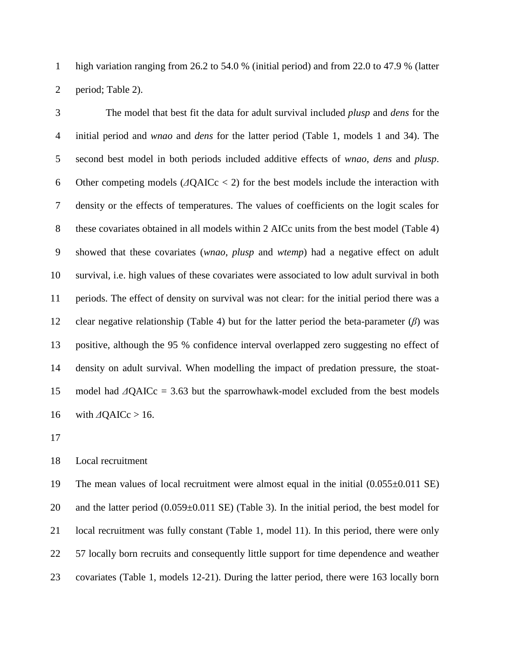high variation ranging from 26.2 to 54.0 % (initial period) and from 22.0 to 47.9 % (latter period; Table 2).

 The model that best fit the data for adult survival included *plusp* and *dens* for the initial period and *wnao* and *dens* for the latter period (Table 1, models 1 and 34). The second best model in both periods included additive effects of *wnao*, *dens* and *plusp*. Other competing models (*Δ*QAICc < 2) for the best models include the interaction with density or the effects of temperatures. The values of coefficients on the logit scales for these covariates obtained in all models within 2 AICc units from the best model (Table 4) showed that these covariates (*wnao*, *plusp* and *wtemp*) had a negative effect on adult survival, i.e. high values of these covariates were associated to low adult survival in both periods. The effect of density on survival was not clear: for the initial period there was a clear negative relationship (Table 4) but for the latter period the beta-parameter (*β*) was positive, although the 95 % confidence interval overlapped zero suggesting no effect of density on adult survival. When modelling the impact of predation pressure, the stoat- model had *Δ*QAICc = 3.63 but the sparrowhawk-model excluded from the best models 16 with *Δ*QAICc > 16.

## Local recruitment

 The mean values of local recruitment were almost equal in the initial (0.055±0.011 SE) 20 and the latter period  $(0.059\pm0.011 \text{ SE})$  (Table 3). In the initial period, the best model for local recruitment was fully constant (Table 1, model 11). In this period, there were only 57 locally born recruits and consequently little support for time dependence and weather covariates (Table 1, models 12-21). During the latter period, there were 163 locally born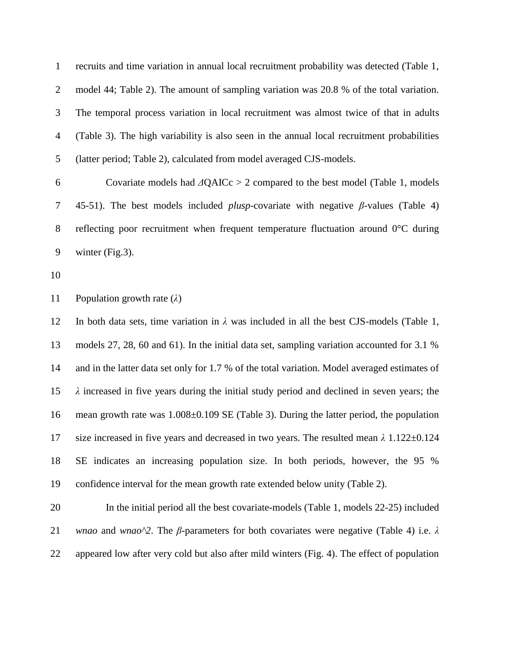recruits and time variation in annual local recruitment probability was detected (Table 1, model 44; Table 2). The amount of sampling variation was 20.8 % of the total variation. The temporal process variation in local recruitment was almost twice of that in adults (Table 3). The high variability is also seen in the annual local recruitment probabilities (latter period; Table 2), calculated from model averaged CJS-models.

 Covariate models had *Δ*QAICc > 2 compared to the best model (Table 1, models 45-51). The best models included *plusp*-covariate with negative *β-*values (Table 4) reflecting poor recruitment when frequent temperature fluctuation around 0°C during winter (Fig.3).

Population growth rate (*λ*)

12 In both data sets, time variation in  $\lambda$  was included in all the best CJS-models (Table 1, models 27, 28, 60 and 61). In the initial data set, sampling variation accounted for 3.1 % and in the latter data set only for 1.7 % of the total variation. Model averaged estimates of *λ* increased in five years during the initial study period and declined in seven years; the mean growth rate was 1.008±0.109 SE (Table 3). During the latter period, the population size increased in five years and decreased in two years. The resulted mean *λ* 1.122±0.124 SE indicates an increasing population size. In both periods, however, the 95 % confidence interval for the mean growth rate extended below unity (Table 2).

 In the initial period all the best covariate-models (Table 1, models 22-25) included *wnao* and *wnao^2*. The *β*-parameters for both covariates were negative (Table 4) i.e. *λ* appeared low after very cold but also after mild winters (Fig. 4). The effect of population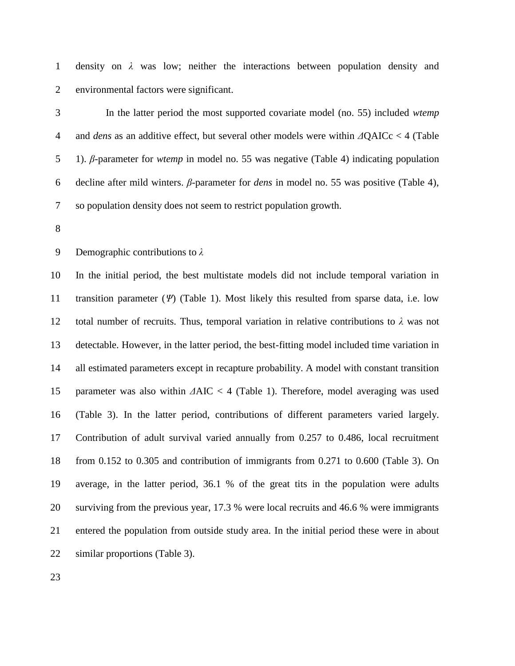density on *λ* was low; neither the interactions between population density and environmental factors were significant.

 In the latter period the most supported covariate model (no. 55) included *wtemp* and *dens* as an additive effect, but several other models were within *Δ*QAICc < 4 (Table 1). *β*-parameter for *wtemp* in model no. 55 was negative (Table 4) indicating population decline after mild winters. *β*-parameter for *dens* in model no. 55 was positive (Table 4), so population density does not seem to restrict population growth.

Demographic contributions to *λ*

 In the initial period, the best multistate models did not include temporal variation in transition parameter (*Ψ*) (Table 1). Most likely this resulted from sparse data, i.e. low 12 total number of recruits. Thus, temporal variation in relative contributions to  $\lambda$  was not detectable. However, in the latter period, the best-fitting model included time variation in all estimated parameters except in recapture probability. A model with constant transition parameter was also within *Δ*AIC < 4 (Table 1). Therefore, model averaging was used (Table 3). In the latter period, contributions of different parameters varied largely. Contribution of adult survival varied annually from 0.257 to 0.486, local recruitment from 0.152 to 0.305 and contribution of immigrants from 0.271 to 0.600 (Table 3). On average, in the latter period, 36.1 % of the great tits in the population were adults surviving from the previous year, 17.3 % were local recruits and 46.6 % were immigrants entered the population from outside study area. In the initial period these were in about similar proportions (Table 3).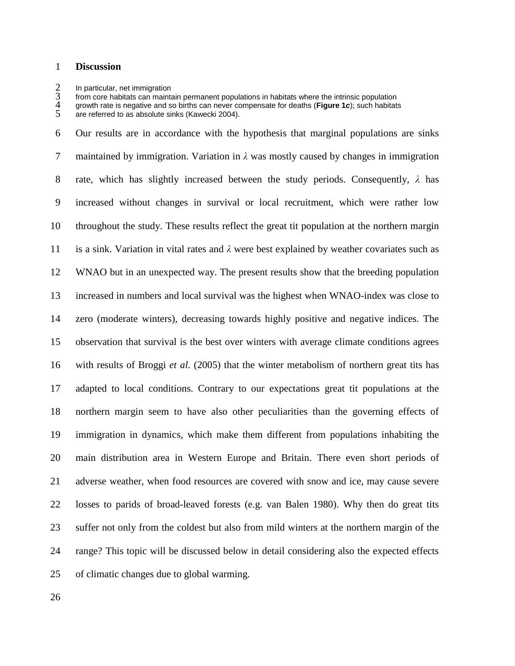#### **Discussion**

2 In particular, net immigration<br>3 from core habitats can mainta<br>4 growth rate is negative and s from core habitats can maintain permanent populations in habitats where the intrinsic population

growth rate is negative and so births can never compensate for deaths (**Figure 1***c*); such habitats

 Our results are in accordance with the hypothesis that marginal populations are sinks maintained by immigration. Variation in *λ* was mostly caused by changes in immigration rate, which has slightly increased between the study periods. Consequently, *λ* has increased without changes in survival or local recruitment, which were rather low throughout the study. These results reflect the great tit population at the northern margin is a sink. Variation in vital rates and *λ* were best explained by weather covariates such as WNAO but in an unexpected way. The present results show that the breeding population increased in numbers and local survival was the highest when WNAO-index was close to zero (moderate winters), decreasing towards highly positive and negative indices. The observation that survival is the best over winters with average climate conditions agrees with results of Broggi *et al.* (2005) that the winter metabolism of northern great tits has adapted to local conditions. Contrary to our expectations great tit populations at the northern margin seem to have also other peculiarities than the governing effects of immigration in dynamics, which make them different from populations inhabiting the main distribution area in Western Europe and Britain. There even short periods of adverse weather, when food resources are covered with snow and ice, may cause severe losses to parids of broad-leaved forests (e.g. van Balen 1980). Why then do great tits suffer not only from the coldest but also from mild winters at the northern margin of the range? This topic will be discussed below in detail considering also the expected effects of climatic changes due to global warming.

are referred to as absolute sinks (Kawecki 2004).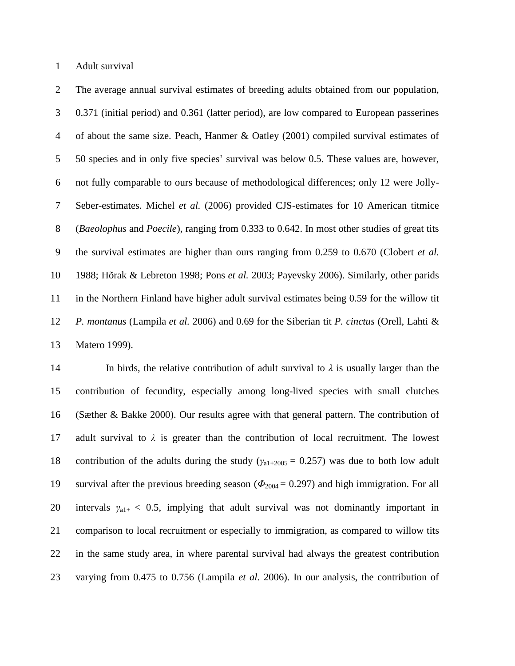Adult survival

 The average annual survival estimates of breeding adults obtained from our population, 0.371 (initial period) and 0.361 (latter period), are low compared to European passerines of about the same size. Peach, Hanmer & Oatley (2001) compiled survival estimates of 50 species and in only five species' survival was below 0.5. These values are, however, not fully comparable to ours because of methodological differences; only 12 were Jolly- Seber-estimates. Michel *et al.* (2006) provided CJS-estimates for 10 American titmice (*Baeolophus* and *Poecile*), ranging from 0.333 to 0.642. In most other studies of great tits the survival estimates are higher than ours ranging from 0.259 to 0.670 (Clobert *et al.* 1988; Hõrak & Lebreton 1998; Pons *et al.* 2003; Payevsky 2006). Similarly, other parids in the Northern Finland have higher adult survival estimates being 0.59 for the willow tit *P. montanus* (Lampila *et al.* 2006) and 0.69 for the Siberian tit *P. cinctus* (Orell, Lahti & Matero 1999).

14 In birds, the relative contribution of adult survival to  $\lambda$  is usually larger than the contribution of fecundity, especially among long-lived species with small clutches (Sæther & Bakke 2000). Our results agree with that general pattern. The contribution of 17 adult survival to  $\lambda$  is greater than the contribution of local recruitment. The lowest 18 contribution of the adults during the study ( $\gamma_{a1+2005} = 0.257$ ) was due to both low adult 19 survival after the previous breeding season ( $\Phi_{2004} = 0.297$ ) and high immigration. For all 20 intervals  $\gamma_{a1+} < 0.5$ , implying that adult survival was not dominantly important in comparison to local recruitment or especially to immigration, as compared to willow tits in the same study area, in where parental survival had always the greatest contribution varying from 0.475 to 0.756 (Lampila *et al.* 2006). In our analysis, the contribution of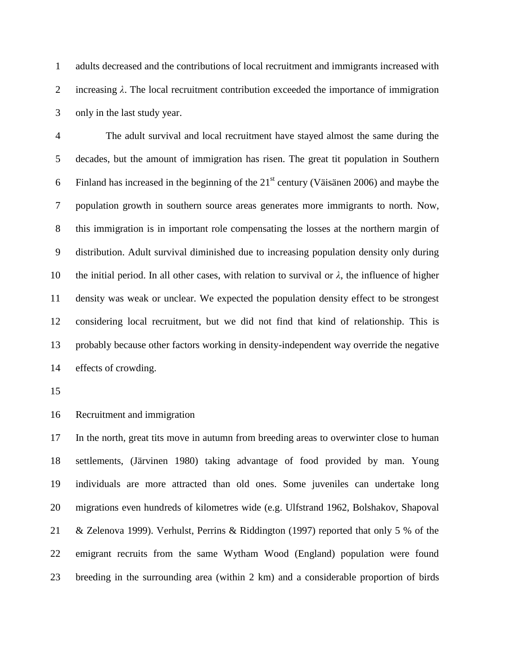adults decreased and the contributions of local recruitment and immigrants increased with increasing *λ*. The local recruitment contribution exceeded the importance of immigration only in the last study year.

 The adult survival and local recruitment have stayed almost the same during the decades, but the amount of immigration has risen. The great tit population in Southern 6 Finland has increased in the beginning of the  $21<sup>st</sup>$  century (Väisänen 2006) and maybe the population growth in southern source areas generates more immigrants to north. Now, this immigration is in important role compensating the losses at the northern margin of distribution. Adult survival diminished due to increasing population density only during 10 the initial period. In all other cases, with relation to survival or  $\lambda$ , the influence of higher density was weak or unclear. We expected the population density effect to be strongest considering local recruitment, but we did not find that kind of relationship. This is probably because other factors working in density-independent way override the negative effects of crowding.

Recruitment and immigration

 In the north, great tits move in autumn from breeding areas to overwinter close to human settlements, (Järvinen 1980) taking advantage of food provided by man. Young individuals are more attracted than old ones. Some juveniles can undertake long migrations even hundreds of kilometres wide (e.g. Ulfstrand 1962, Bolshakov, Shapoval & Zelenova 1999). Verhulst, Perrins & Riddington (1997) reported that only 5 % of the emigrant recruits from the same Wytham Wood (England) population were found breeding in the surrounding area (within 2 km) and a considerable proportion of birds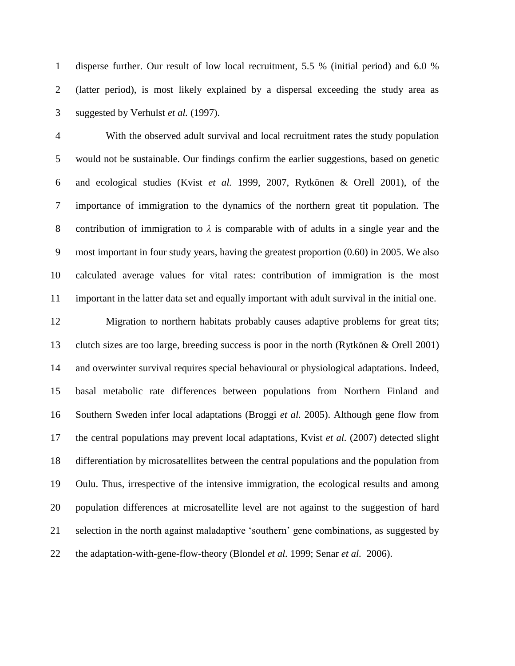disperse further. Our result of low local recruitment, 5.5 % (initial period) and 6.0 % (latter period), is most likely explained by a dispersal exceeding the study area as suggested by Verhulst *et al.* (1997).

 With the observed adult survival and local recruitment rates the study population would not be sustainable. Our findings confirm the earlier suggestions, based on genetic and ecological studies (Kvist *et al.* 1999, 2007, Rytkönen & Orell 2001), of the importance of immigration to the dynamics of the northern great tit population. The 8 contribution of immigration to  $\lambda$  is comparable with of adults in a single year and the most important in four study years, having the greatest proportion (0.60) in 2005. We also calculated average values for vital rates: contribution of immigration is the most important in the latter data set and equally important with adult survival in the initial one.

 Migration to northern habitats probably causes adaptive problems for great tits; clutch sizes are too large, breeding success is poor in the north (Rytkönen & Orell 2001) and overwinter survival requires special behavioural or physiological adaptations. Indeed, basal metabolic rate differences between populations from Northern Finland and Southern Sweden infer local adaptations (Broggi *et al.* 2005). Although gene flow from the central populations may prevent local adaptations, Kvist *et al.* (2007) detected slight differentiation by microsatellites between the central populations and the population from Oulu. Thus, irrespective of the intensive immigration, the ecological results and among population differences at microsatellite level are not against to the suggestion of hard selection in the north against maladaptive 'southern' gene combinations, as suggested by the adaptation-with-gene-flow-theory (Blondel *et al.* 1999; Senar *et al.* 2006).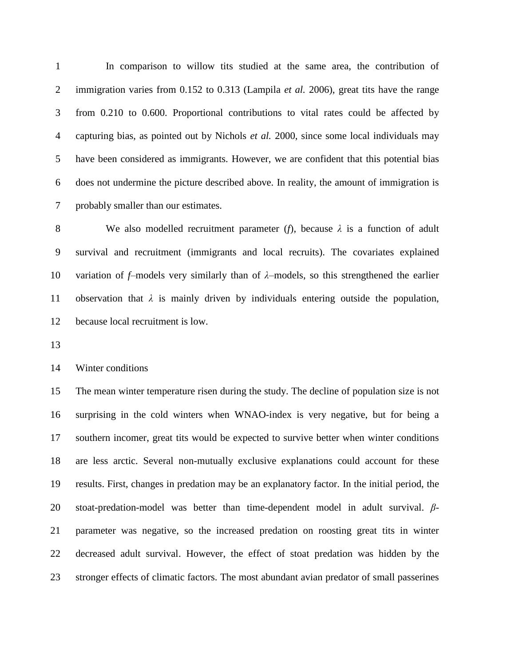In comparison to willow tits studied at the same area, the contribution of immigration varies from 0.152 to 0.313 (Lampila *et al.* 2006), great tits have the range from 0.210 to 0.600. Proportional contributions to vital rates could be affected by capturing bias, as pointed out by Nichols *et al.* 2000, since some local individuals may have been considered as immigrants. However, we are confident that this potential bias does not undermine the picture described above. In reality, the amount of immigration is probably smaller than our estimates.

 We also modelled recruitment parameter (*f*), because *λ* is a function of adult survival and recruitment (immigrants and local recruits). The covariates explained variation of *f*–models very similarly than of *λ*–models, so this strengthened the earlier observation that *λ* is mainly driven by individuals entering outside the population, because local recruitment is low.

Winter conditions

 The mean winter temperature risen during the study. The decline of population size is not surprising in the cold winters when WNAO-index is very negative, but for being a southern incomer, great tits would be expected to survive better when winter conditions are less arctic. Several non-mutually exclusive explanations could account for these results. First, changes in predation may be an explanatory factor. In the initial period, the stoat-predation-model was better than time-dependent model in adult survival. *β*- parameter was negative, so the increased predation on roosting great tits in winter decreased adult survival. However, the effect of stoat predation was hidden by the stronger effects of climatic factors. The most abundant avian predator of small passerines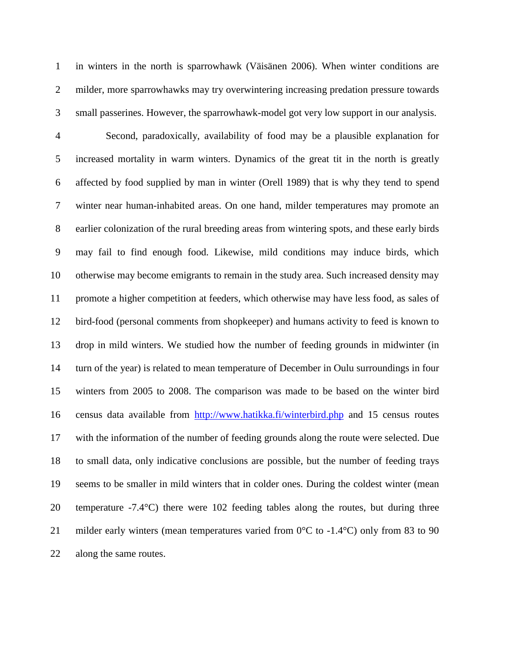in winters in the north is sparrowhawk (Väisänen 2006). When winter conditions are milder, more sparrowhawks may try overwintering increasing predation pressure towards small passerines. However, the sparrowhawk-model got very low support in our analysis.

 Second, paradoxically, availability of food may be a plausible explanation for increased mortality in warm winters. Dynamics of the great tit in the north is greatly affected by food supplied by man in winter (Orell 1989) that is why they tend to spend winter near human-inhabited areas. On one hand, milder temperatures may promote an earlier colonization of the rural breeding areas from wintering spots, and these early birds may fail to find enough food. Likewise, mild conditions may induce birds, which otherwise may become emigrants to remain in the study area. Such increased density may promote a higher competition at feeders, which otherwise may have less food, as sales of bird-food (personal comments from shopkeeper) and humans activity to feed is known to drop in mild winters. We studied how the number of feeding grounds in midwinter (in turn of the year) is related to mean temperature of December in Oulu surroundings in four winters from 2005 to 2008. The comparison was made to be based on the winter bird census data available from <http://www.hatikka.fi/winterbird.php> and 15 census routes with the information of the number of feeding grounds along the route were selected. Due to small data, only indicative conclusions are possible, but the number of feeding trays seems to be smaller in mild winters that in colder ones. During the coldest winter (mean temperature -7.4°C) there were 102 feeding tables along the routes, but during three 21 milder early winters (mean temperatures varied from  $0^{\circ}$ C to -1.4 $^{\circ}$ C) only from 83 to 90 along the same routes.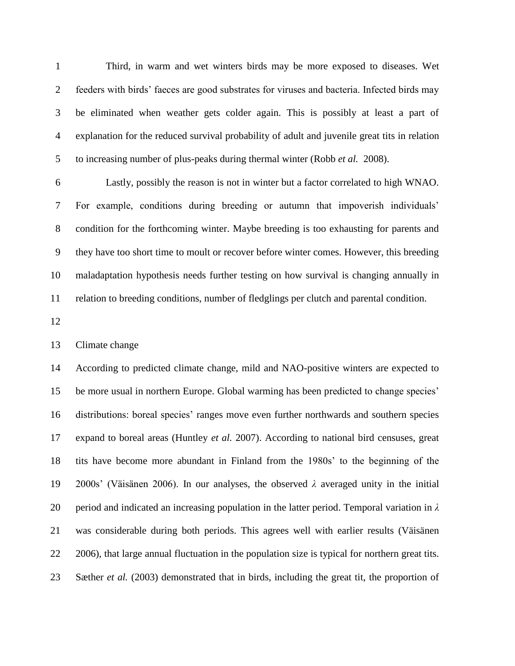Third, in warm and wet winters birds may be more exposed to diseases. Wet feeders with birds' faeces are good substrates for viruses and bacteria. Infected birds may be eliminated when weather gets colder again. This is possibly at least a part of explanation for the reduced survival probability of adult and juvenile great tits in relation to increasing number of plus-peaks during thermal winter (Robb *et al.* 2008).

 Lastly, possibly the reason is not in winter but a factor correlated to high WNAO. For example, conditions during breeding or autumn that impoverish individuals' condition for the forthcoming winter. Maybe breeding is too exhausting for parents and they have too short time to moult or recover before winter comes. However, this breeding maladaptation hypothesis needs further testing on how survival is changing annually in relation to breeding conditions, number of fledglings per clutch and parental condition.

Climate change

 According to predicted climate change, mild and NAO-positive winters are expected to be more usual in northern Europe. Global warming has been predicted to change species' distributions: boreal species' ranges move even further northwards and southern species expand to boreal areas (Huntley *et al.* 2007). According to national bird censuses, great tits have become more abundant in Finland from the 1980s' to the beginning of the 2000s' (Väisänen 2006). In our analyses, the observed *λ* averaged unity in the initial period and indicated an increasing population in the latter period. Temporal variation in *λ*  was considerable during both periods. This agrees well with earlier results (Väisänen 2006), that large annual fluctuation in the population size is typical for northern great tits. Sæther *et al.* (2003) demonstrated that in birds, including the great tit, the proportion of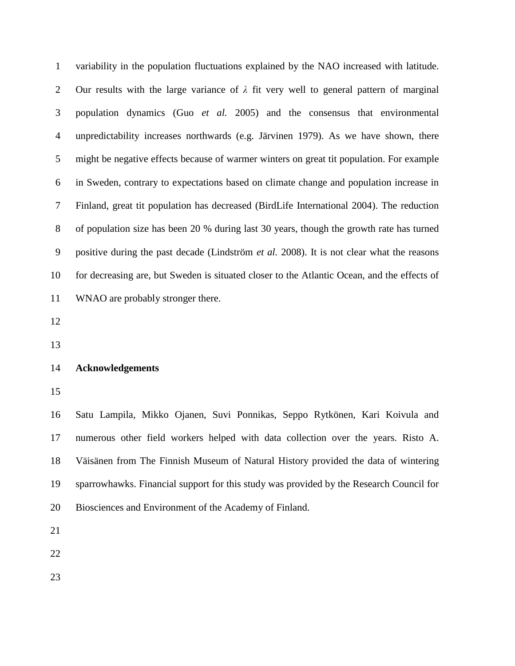variability in the population fluctuations explained by the NAO increased with latitude. Our results with the large variance of *λ* fit very well to general pattern of marginal population dynamics (Guo *et al.* 2005) and the consensus that environmental unpredictability increases northwards (e.g. Järvinen 1979). As we have shown, there might be negative effects because of warmer winters on great tit population. For example in Sweden, contrary to expectations based on climate change and population increase in Finland, great tit population has decreased (BirdLife International 2004). The reduction of population size has been 20 % during last 30 years, though the growth rate has turned positive during the past decade (Lindström *et al.* 2008). It is not clear what the reasons for decreasing are, but Sweden is situated closer to the Atlantic Ocean, and the effects of WNAO are probably stronger there.

#### **Acknowledgements**

 Satu Lampila, Mikko Ojanen, Suvi Ponnikas, Seppo Rytkönen, Kari Koivula and numerous other field workers helped with data collection over the years. Risto A. Väisänen from The Finnish Museum of Natural History provided the data of wintering sparrowhawks. Financial support for this study was provided by the Research Council for Biosciences and Environment of the Academy of Finland.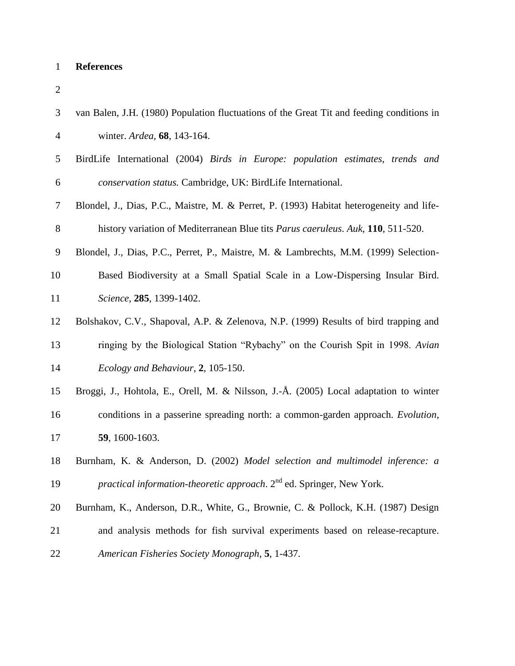# **References**

| ٠      |
|--------|
| S<br>٧ |
|        |
|        |

| 3  | van Balen, J.H. (1980) Population fluctuations of the Great Tit and feeding conditions in |
|----|-------------------------------------------------------------------------------------------|
| 4  | winter. Ardea, 68, 143-164.                                                               |
| 5  | BirdLife International (2004) Birds in Europe: population estimates, trends and           |
| 6  | conservation status. Cambridge, UK: BirdLife International.                               |
| 7  | Blondel, J., Dias, P.C., Maistre, M. & Perret, P. (1993) Habitat heterogeneity and life-  |
| 8  | history variation of Mediterranean Blue tits Parus caeruleus. Auk, 110, 511-520.          |
| 9  | Blondel, J., Dias, P.C., Perret, P., Maistre, M. & Lambrechts, M.M. (1999) Selection-     |
| 10 | Based Biodiversity at a Small Spatial Scale in a Low-Dispersing Insular Bird.             |
| 11 | Science, 285, 1399-1402.                                                                  |
| 12 | Bolshakov, C.V., Shapoval, A.P. & Zelenova, N.P. (1999) Results of bird trapping and      |
| 13 | ringing by the Biological Station "Rybachy" on the Courish Spit in 1998. Avian            |
| 14 | Ecology and Behaviour, 2, 105-150.                                                        |
| 15 | Broggi, J., Hohtola, E., Orell, M. & Nilsson, J.-Å. (2005) Local adaptation to winter     |
| 16 | conditions in a passerine spreading north: a common-garden approach. Evolution,           |
| 17 | 59, 1600-1603.                                                                            |
| 18 | Burnham, K. & Anderson, D. (2002) Model selection and multimodel inference: a             |
| 19 | <i>practical information-theoretic approach.</i> 2 <sup>nd</sup> ed. Springer, New York.  |
| 20 | Burnham, K., Anderson, D.R., White, G., Brownie, C. & Pollock, K.H. (1987) Design         |
| 21 | and analysis methods for fish survival experiments based on release-recapture.            |
| 22 | American Fisheries Society Monograph, 5, 1-437.                                           |
|    |                                                                                           |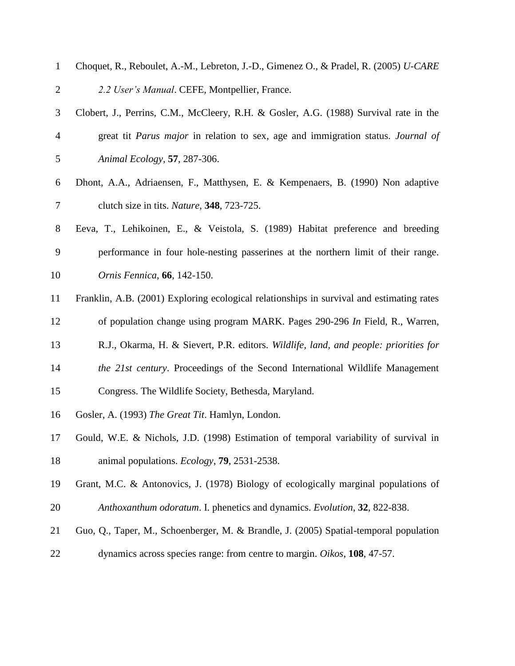| $\mathbf{1}$   | Choquet, R., Reboulet, A.-M., Lebreton, J.-D., Gimenez O., & Pradel, R. (2005) U-CARE     |
|----------------|-------------------------------------------------------------------------------------------|
| $\overline{2}$ | 2.2 User's Manual. CEFE, Montpellier, France.                                             |
| 3              | Clobert, J., Perrins, C.M., McCleery, R.H. & Gosler, A.G. (1988) Survival rate in the     |
| $\overline{4}$ | great tit Parus major in relation to sex, age and immigration status. Journal of          |
| 5              | Animal Ecology, 57, 287-306.                                                              |
| 6              | Dhont, A.A., Adriaensen, F., Matthysen, E. & Kempenaers, B. (1990) Non adaptive           |
| 7              | clutch size in tits. <i>Nature</i> , <b>348</b> , 723-725.                                |
| 8              | Eeva, T., Lehikoinen, E., & Veistola, S. (1989) Habitat preference and breeding           |
| 9              | performance in four hole-nesting passerines at the northern limit of their range.         |
| 10             | Ornis Fennica, 66, 142-150.                                                               |
| 11             | Franklin, A.B. (2001) Exploring ecological relationships in survival and estimating rates |
| 12             | of population change using program MARK. Pages 290-296 In Field, R., Warren,              |
| 13             | R.J., Okarma, H. & Sievert, P.R. editors. Wildlife, land, and people: priorities for      |
| 14             | the 21st century. Proceedings of the Second International Wildlife Management             |
| 15             | Congress. The Wildlife Society, Bethesda, Maryland.                                       |
| 16             | Gosler, A. (1993) The Great Tit. Hamlyn, London.                                          |
| 17             | Gould, W.E. & Nichols, J.D. (1998) Estimation of temporal variability of survival in      |
| 18             | animal populations. <i>Ecology</i> , <b>79</b> , 2531-2538.                               |
| 19             | Grant, M.C. & Antonovics, J. (1978) Biology of ecologically marginal populations of       |
| 20             | Anthoxanthum odoratum. I. phenetics and dynamics. Evolution, 32, 822-838.                 |
| 21             | Guo, Q., Taper, M., Schoenberger, M. & Brandle, J. (2005) Spatial-temporal population     |
| 22             | dynamics across species range: from centre to margin. Oikos, 108, 47-57.                  |
|                |                                                                                           |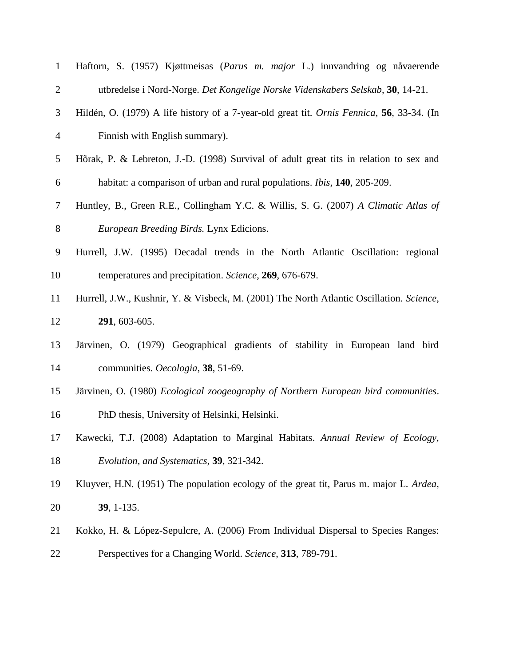| $\mathbf{1}$   | Haftorn, S. (1957) Kjøttmeisas (Parus m. major L.) innvandring og nåvaerende              |
|----------------|-------------------------------------------------------------------------------------------|
| $\overline{2}$ | utbredelse i Nord-Norge. Det Kongelige Norske Videnskabers Selskab, 30, 14-21.            |
| 3              | Hildén, O. (1979) A life history of a 7-year-old great tit. Ornis Fennica, 56, 33-34. (In |
| $\overline{4}$ | Finnish with English summary).                                                            |
| 5              | Hõrak, P. & Lebreton, J.-D. (1998) Survival of adult great tits in relation to sex and    |
| 6              | habitat: a comparison of urban and rural populations. <i>Ibis</i> , <b>140</b> , 205-209. |
| 7              | Huntley, B., Green R.E., Collingham Y.C. & Willis, S. G. (2007) A Climatic Atlas of       |
| 8              | European Breeding Birds. Lynx Edicions.                                                   |
| 9              | Hurrell, J.W. (1995) Decadal trends in the North Atlantic Oscillation: regional           |
| 10             | temperatures and precipitation. Science, 269, 676-679.                                    |
| 11             | Hurrell, J.W., Kushnir, Y. & Visbeck, M. (2001) The North Atlantic Oscillation. Science,  |
| 12             | 291, 603-605.                                                                             |
| 13             | Järvinen, O. (1979) Geographical gradients of stability in European land bird             |
| 14             | communities. Oecologia, 38, 51-69.                                                        |
| 15             | Järvinen, O. (1980) Ecological zoogeography of Northern European bird communities.        |
| 16             | PhD thesis, University of Helsinki, Helsinki.                                             |
| 17             | Kawecki, T.J. (2008) Adaptation to Marginal Habitats. Annual Review of Ecology,           |
| 18             | Evolution, and Systematics, 39, 321-342.                                                  |
| 19             | Kluyver, H.N. (1951) The population ecology of the great tit, Parus m. major L. Ardea,    |
| 20             | 39, 1-135.                                                                                |
| 21             | Kokko, H. & López-Sepulcre, A. (2006) From Individual Dispersal to Species Ranges:        |
| 22             | Perspectives for a Changing World. Science, 313, 789-791.                                 |
|                |                                                                                           |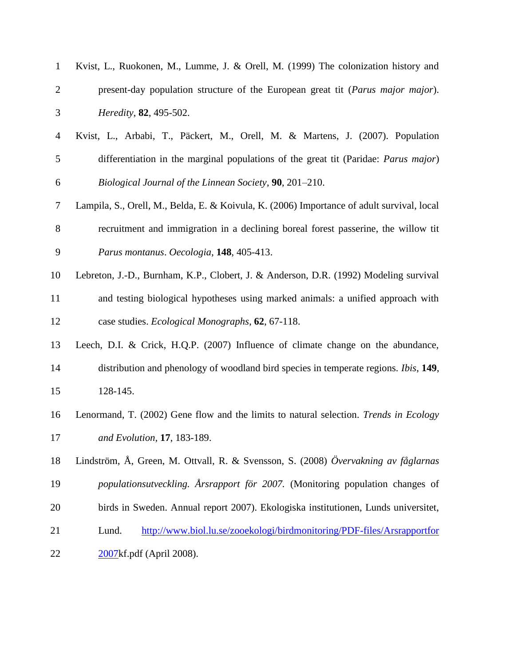| $\mathbf{1}$     | Kvist, L., Ruokonen, M., Lumme, J. & Orell, M. (1999) The colonization history and           |
|------------------|----------------------------------------------------------------------------------------------|
| $\overline{2}$   | present-day population structure of the European great tit (Parus major major).              |
| 3                | Heredity, 82, 495-502.                                                                       |
| $\overline{4}$   | Kvist, L., Arbabi, T., Päckert, M., Orell, M. & Martens, J. (2007). Population               |
| 5                | differentiation in the marginal populations of the great tit (Paridae: Parus major)          |
| 6                | Biological Journal of the Linnean Society, 90, 201–210.                                      |
| $\tau$           | Lampila, S., Orell, M., Belda, E. & Koivula, K. (2006) Importance of adult survival, local   |
| 8                | recruitment and immigration in a declining boreal forest passerine, the willow tit           |
| $\boldsymbol{9}$ | Parus montanus. Oecologia, 148, 405-413.                                                     |
| 10               | Lebreton, J.-D., Burnham, K.P., Clobert, J. & Anderson, D.R. (1992) Modeling survival        |
| 11               | and testing biological hypotheses using marked animals: a unified approach with              |
| 12               | case studies. <i>Ecological Monographs</i> , 62, 67-118.                                     |
| 13               | Leech, D.I. & Crick, H.Q.P. (2007) Influence of climate change on the abundance,             |
| 14               | distribution and phenology of woodland bird species in temperate regions. <i>Ibis</i> , 149, |
| 15               | 128-145.                                                                                     |
| 16               | Lenormand, T. (2002) Gene flow and the limits to natural selection. Trends in Ecology        |
| 17               | <i>and Evolution</i> , <b>17</b> , 183-189.                                                  |
| 18               | Lindström, Å, Green, M. Ottvall, R. & Svensson, S. (2008) Övervakning av fåglarnas           |
| 19               | populationsutveckling. Årsrapport för 2007. (Monitoring population changes of                |
| 20               | birds in Sweden. Annual report 2007). Ekologiska institutionen, Lunds universitet,           |
| 21               | http://www.biol.lu.se/zooekologi/birdmonitoring/PDF-files/Arsrapportfor<br>Lund.             |
| 22               | 2007kf.pdf (April 2008).                                                                     |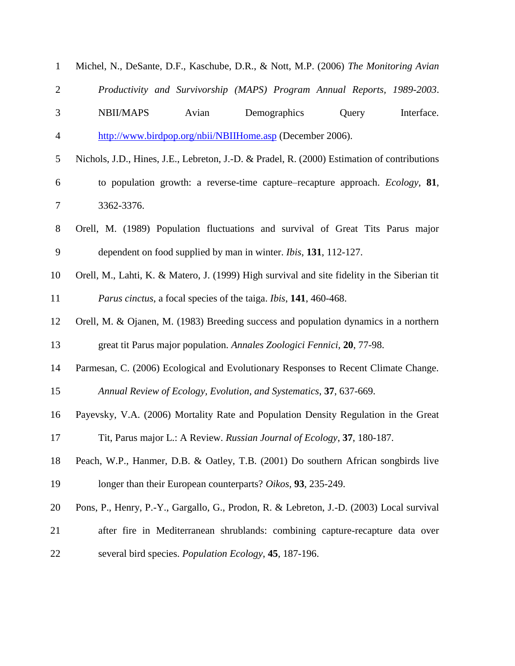| $\mathbf{1}$   | Michel, N., DeSante, D.F., Kaschube, D.R., & Nott, M.P. (2006) The Monitoring Avian          |
|----------------|----------------------------------------------------------------------------------------------|
| $\overline{2}$ | Productivity and Survivorship (MAPS) Program Annual Reports, 1989-2003.                      |
| 3              | <b>NBII/MAPS</b><br>Interface.<br>Avian<br>Demographics<br>Query                             |
| 4              | http://www.birdpop.org/nbii/NBIIHome.asp (December 2006).                                    |
| 5              | Nichols, J.D., Hines, J.E., Lebreton, J.-D. & Pradel, R. (2000) Estimation of contributions  |
| 6              | to population growth: a reverse-time capture–recapture approach. <i>Ecology</i> , 81,        |
| 7              | 3362-3376.                                                                                   |
| 8              | Orell, M. (1989) Population fluctuations and survival of Great Tits Parus major              |
| 9              | dependent on food supplied by man in winter. <i>Ibis</i> , 131, 112-127.                     |
| 10             | Orell, M., Lahti, K. & Matero, J. (1999) High survival and site fidelity in the Siberian tit |
| 11             | <i>Parus cinctus</i> , a focal species of the taiga. <i>Ibis</i> , <b>141</b> , 460-468.     |
| 12             | Orell, M. & Ojanen, M. (1983) Breeding success and population dynamics in a northern         |
| 13             | great tit Parus major population. Annales Zoologici Fennici, 20, 77-98.                      |
| 14             | Parmesan, C. (2006) Ecological and Evolutionary Responses to Recent Climate Change.          |
| 15             | Annual Review of Ecology, Evolution, and Systematics, 37, 637-669.                           |
| 16             | Payevsky, V.A. (2006) Mortality Rate and Population Density Regulation in the Great          |
| 17             | Tit, Parus major L.: A Review. Russian Journal of Ecology, 37, 180-187.                      |
| 18             | Peach, W.P., Hanmer, D.B. & Oatley, T.B. (2001) Do southern African songbirds live           |
| 19             | longer than their European counterparts? Oikos, 93, 235-249.                                 |
| 20             | Pons, P., Henry, P.-Y., Gargallo, G., Prodon, R. & Lebreton, J.-D. (2003) Local survival     |
| 21             | after fire in Mediterranean shrublands: combining capture-recapture data over                |
| 22             | several bird species. Population Ecology, 45, 187-196.                                       |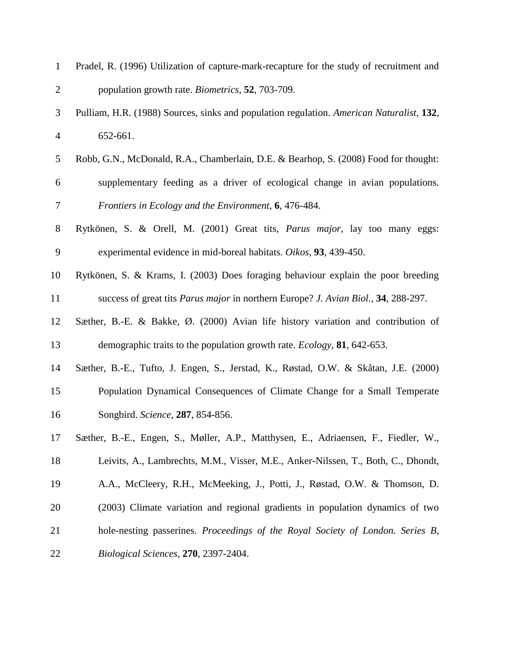| $\mathbf{1}$   | Pradel, R. (1996) Utilization of capture-mark-recapture for the study of recruitment and          |
|----------------|---------------------------------------------------------------------------------------------------|
| $\overline{2}$ | population growth rate. <i>Biometrics</i> , 52, 703-709.                                          |
| 3              | Pulliam, H.R. (1988) Sources, sinks and population regulation. American Naturalist, 132,          |
| $\overline{4}$ | 652-661.                                                                                          |
| 5              | Robb, G.N., McDonald, R.A., Chamberlain, D.E. & Bearhop, S. (2008) Food for thought:              |
| 6              | supplementary feeding as a driver of ecological change in avian populations.                      |
| 7              | Frontiers in Ecology and the Environment, 6, 476-484.                                             |
| $8\,$          | Rytkönen, S. & Orell, M. (2001) Great tits, Parus major, lay too many eggs:                       |
| 9              | experimental evidence in mid-boreal habitats. Oikos, 93, 439-450.                                 |
| 10             | Rytkönen, S. & Krams, I. (2003) Does foraging behaviour explain the poor breeding                 |
| 11             | success of great tits <i>Parus major</i> in northern Europe? <i>J. Avian Biol.</i> , 34, 288-297. |
| 12             | Sæther, B.-E. & Bakke, $\emptyset$ . (2000) Avian life history variation and contribution of      |
| 13             | demographic traits to the population growth rate. <i>Ecology</i> , <b>81</b> , 642-653.           |
| 14             | Sæther, B.-E., Tufto, J. Engen, S., Jerstad, K., Røstad, O.W. & Skåtan, J.E. (2000)               |
| 15             | Population Dynamical Consequences of Climate Change for a Small Temperate                         |
| 16             | Songbird. Science, 287, 854-856.                                                                  |
| 17             | Sæther, B.-E., Engen, S., Møller, A.P., Matthysen, E., Adriaensen, F., Fiedler, W.,               |
| 18             | Leivits, A., Lambrechts, M.M., Visser, M.E., Anker-Nilssen, T., Both, C., Dhondt,                 |
| 19             | A.A., McCleery, R.H., McMeeking, J., Potti, J., Røstad, O.W. & Thomson, D.                        |
| 20             | (2003) Climate variation and regional gradients in population dynamics of two                     |
| 21             | hole-nesting passerines. Proceedings of the Royal Society of London. Series B,                    |
| 22             | Biological Sciences, 270, 2397-2404.                                                              |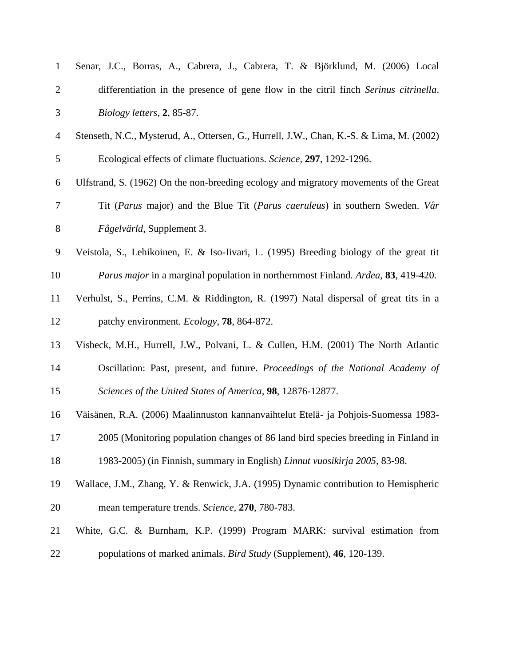| $\mathbf{1}$   | Senar, J.C., Borras, A., Cabrera, J., Cabrera, T. & Björklund, M. (2006) Local                   |
|----------------|--------------------------------------------------------------------------------------------------|
| $\overline{2}$ | differentiation in the presence of gene flow in the citril finch Serinus citrinella.             |
| 3              | Biology letters, 2, 85-87.                                                                       |
| $\overline{4}$ | Stenseth, N.C., Mysterud, A., Ottersen, G., Hurrell, J.W., Chan, K.-S. & Lima, M. (2002)         |
| 5              | Ecological effects of climate fluctuations. Science, 297, 1292-1296.                             |
| 6              | Ulfstrand, S. (1962) On the non-breeding ecology and migratory movements of the Great            |
| 7              | Tit (Parus major) and the Blue Tit (Parus caeruleus) in southern Sweden. Vår                     |
| 8              | Fågelvärld, Supplement 3.                                                                        |
| 9              | Veistola, S., Lehikoinen, E. & Iso-Iivari, L. (1995) Breeding biology of the great tit           |
| 10             | <i>Parus major</i> in a marginal population in northernmost Finland. <i>Ardea</i> , 83, 419-420. |
| 11             | Verhulst, S., Perrins, C.M. & Riddington, R. (1997) Natal dispersal of great tits in a           |
| 12             | patchy environment. Ecology, 78, 864-872.                                                        |
| 13             | Visbeck, M.H., Hurrell, J.W., Polvani, L. & Cullen, H.M. (2001) The North Atlantic               |
| 14             | Oscillation: Past, present, and future. Proceedings of the National Academy of                   |
| 15             | Sciences of the United States of America, 98, 12876-12877.                                       |
| 16             | Väisänen, R.A. (2006) Maalinnuston kannanvaihtelut Etelä- ja Pohjois-Suomessa 1983-              |
| 17             | 2005 (Monitoring population changes of 86 land bird species breeding in Finland in               |
| 18             | 1983-2005) (in Finnish, summary in English) Linnut vuosikirja 2005, 83-98.                       |
| 19             | Wallace, J.M., Zhang, Y. & Renwick, J.A. (1995) Dynamic contribution to Hemispheric              |
| 20             | mean temperature trends. Science, 270, 780-783.                                                  |
| 21             | White, G.C. & Burnham, K.P. (1999) Program MARK: survival estimation from                        |
| 22             | populations of marked animals. <i>Bird Study</i> (Supplement), 46, 120-139.                      |